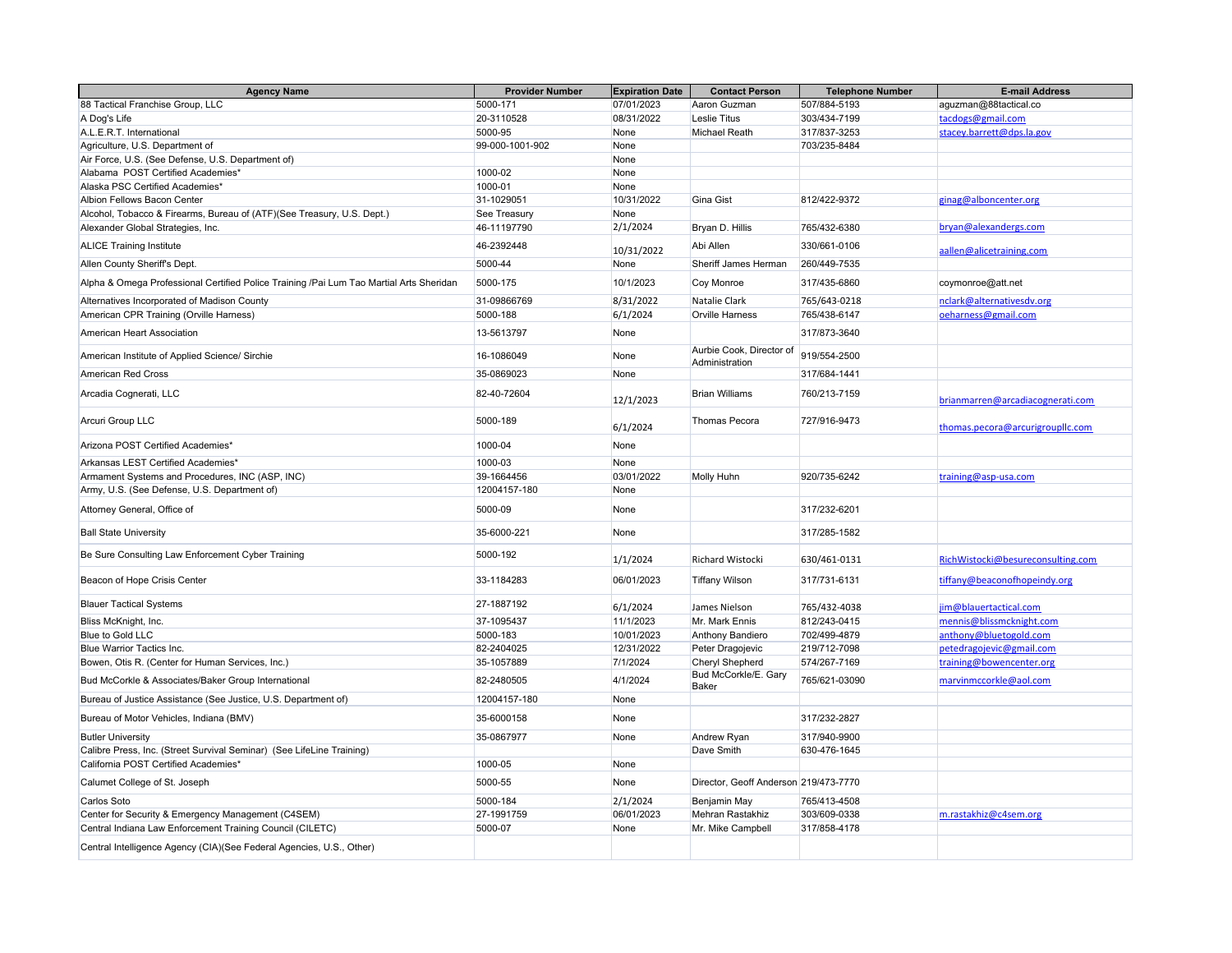| <b>Agency Name</b>                                                                      | <b>Provider Number</b> | <b>Expiration Date</b> | <b>Contact Person</b>                      | <b>Telephone Number</b> | <b>E-mail Address</b>             |
|-----------------------------------------------------------------------------------------|------------------------|------------------------|--------------------------------------------|-------------------------|-----------------------------------|
| 88 Tactical Franchise Group, LLC                                                        | 5000-171               | 07/01/2023             | Aaron Guzman                               | 507/884-5193            | aguzman@88tactical.co             |
| A Dog's Life                                                                            | 20-3110528             | 08/31/2022             | <b>Leslie Titus</b>                        | 303/434-7199            | tacdogs@gmail.com                 |
| A.L.E.R.T. International                                                                | 5000-95                | None                   | Michael Reath                              | 317/837-3253            | stacey.barrett@dps.la.gov         |
| Agriculture, U.S. Department of                                                         | 99-000-1001-902        | None                   |                                            | 703/235-8484            |                                   |
| Air Force, U.S. (See Defense, U.S. Department of)                                       |                        | None                   |                                            |                         |                                   |
| Alabama POST Certified Academies*                                                       | 1000-02                | None                   |                                            |                         |                                   |
| Alaska PSC Certified Academies*                                                         | 1000-01                | None                   |                                            |                         |                                   |
| Albion Fellows Bacon Center                                                             | 31-1029051             | 10/31/2022             | Gina Gist                                  | 812/422-9372            | ginag@alboncenter.org             |
| Alcohol, Tobacco & Firearms, Bureau of (ATF)(See Treasury, U.S. Dept.)                  | See Treasury           | None                   |                                            |                         |                                   |
| Alexander Global Strategies, Inc.                                                       | 46-11197790            | 2/1/2024               | Bryan D. Hillis                            | 765/432-6380            | bryan@alexandergs.com             |
| <b>ALICE Training Institute</b>                                                         | 46-2392448             | 10/31/2022             | Abi Allen                                  | 330/661-0106            | aallen@alicetraining.com          |
| Allen County Sheriff's Dept.                                                            | 5000-44                | None                   | Sheriff James Herman                       | 260/449-7535            |                                   |
| Alpha & Omega Professional Certified Police Training /Pai Lum Tao Martial Arts Sheridan | 5000-175               | 10/1/2023              | Coy Monroe                                 | 317/435-6860            | coymonroe@att.net                 |
| Alternatives Incorporated of Madison County                                             | 31-09866769            | 8/31/2022              | Natalie Clark                              | 765/643-0218            | nclark@alternativesdv.org         |
| American CPR Training (Orville Harness)                                                 | 5000-188               | 6/1/2024               | <b>Orville Harness</b>                     | 765/438-6147            | oeharness@gmail.com               |
| American Heart Association                                                              | 13-5613797             | None                   |                                            | 317/873-3640            |                                   |
| American Institute of Applied Science/ Sirchie                                          | 16-1086049             | None                   | Aurbie Cook, Director of<br>Administration | 919/554-2500            |                                   |
| <b>American Red Cross</b>                                                               | 35-0869023             | None                   |                                            | 317/684-1441            |                                   |
| Arcadia Cognerati, LLC                                                                  | 82-40-72604            | 12/1/2023              | <b>Brian Williams</b>                      | 760/213-7159            | brianmarren@arcadiacognerati.com  |
| Arcuri Group LLC                                                                        | 5000-189               | 6/1/2024               | <b>Thomas Pecora</b>                       | 727/916-9473            | thomas.pecora@arcurigroupllc.com  |
| Arizona POST Certified Academies*                                                       | 1000-04                | None                   |                                            |                         |                                   |
| Arkansas LEST Certified Academies*                                                      | 1000-03                | None                   |                                            |                         |                                   |
| Armament Systems and Procedures, INC (ASP, INC)                                         | 39-1664456             | 03/01/2022             | <b>Molly Huhn</b>                          | 920/735-6242            | training@asp-usa.com              |
| Army, U.S. (See Defense, U.S. Department of)                                            | 12004157-180           | None                   |                                            |                         |                                   |
| Attorney General, Office of                                                             | 5000-09                | None                   |                                            | 317/232-6201            |                                   |
| <b>Ball State University</b>                                                            | 35-6000-221            | None                   |                                            | 317/285-1582            |                                   |
| Be Sure Consulting Law Enforcement Cyber Training                                       | 5000-192               | 1/1/2024               | Richard Wistocki                           | 630/461-0131            | RichWistocki@besureconsulting.com |
| Beacon of Hope Crisis Center                                                            | 33-1184283             | 06/01/2023             | <b>Tiffany Wilson</b>                      | 317/731-6131            | tiffany@beaconofhopeindy.org      |
| <b>Blauer Tactical Systems</b>                                                          | 27-1887192             | 6/1/2024               | James Nielson                              | 765/432-4038            | jim@blauertactical.com            |
| Bliss McKnight, Inc.                                                                    | 37-1095437             | 11/1/2023              | Mr. Mark Ennis                             | 812/243-0415            | mennis@blissmcknight.com          |
| Blue to Gold LLC                                                                        | 5000-183               | 10/01/2023             | <b>Anthony Bandiero</b>                    | 702/499-4879            | anthony@bluetogold.com            |
| Blue Warrior Tactics Inc.                                                               | 82-2404025             | 12/31/2022             | Peter Dragojevic                           | 219/712-7098            | petedragojevic@gmail.com          |
| Bowen, Otis R. (Center for Human Services, Inc.)                                        | 35-1057889             | 7/1/2024               | <b>Cheryl Shepherd</b>                     | 574/267-7169            | training@bowencenter.org          |
| Bud McCorkle & Associates/Baker Group International                                     | 82-2480505             | 4/1/2024               | Bud McCorkle/E. Gary<br><b>Baker</b>       | 765/621-03090           | marvinmccorkle@aol.com            |
| Bureau of Justice Assistance (See Justice, U.S. Department of)                          | 12004157-180           | None                   |                                            |                         |                                   |
| Bureau of Motor Vehicles, Indiana (BMV)                                                 | 35-6000158             | None                   |                                            | 317/232-2827            |                                   |
| <b>Butler University</b>                                                                | 35-0867977             | None                   | Andrew Ryan                                | 317/940-9900            |                                   |
| Calibre Press, Inc. (Street Survival Seminar) (See LifeLine Training)                   |                        |                        | Dave Smith                                 | 630-476-1645            |                                   |
| California POST Certified Academies*                                                    | 1000-05                | None                   |                                            |                         |                                   |
| Calumet College of St. Joseph                                                           | 5000-55                | None                   | Director, Geoff Anderson 219/473-7770      |                         |                                   |
| Carlos Soto                                                                             | 5000-184               | 2/1/2024               | Benjamin May                               | 765/413-4508            |                                   |
| Center for Security & Emergency Management (C4SEM)                                      | 27-1991759             | 06/01/2023             | Mehran Rastakhiz                           | 303/609-0338            | m.rastakhiz@c4sem.org             |
| Central Indiana Law Enforcement Training Council (CILETC)                               | 5000-07                | None                   | Mr. Mike Campbell                          | 317/858-4178            |                                   |
| Central Intelligence Agency (CIA)(See Federal Agencies, U.S., Other)                    |                        |                        |                                            |                         |                                   |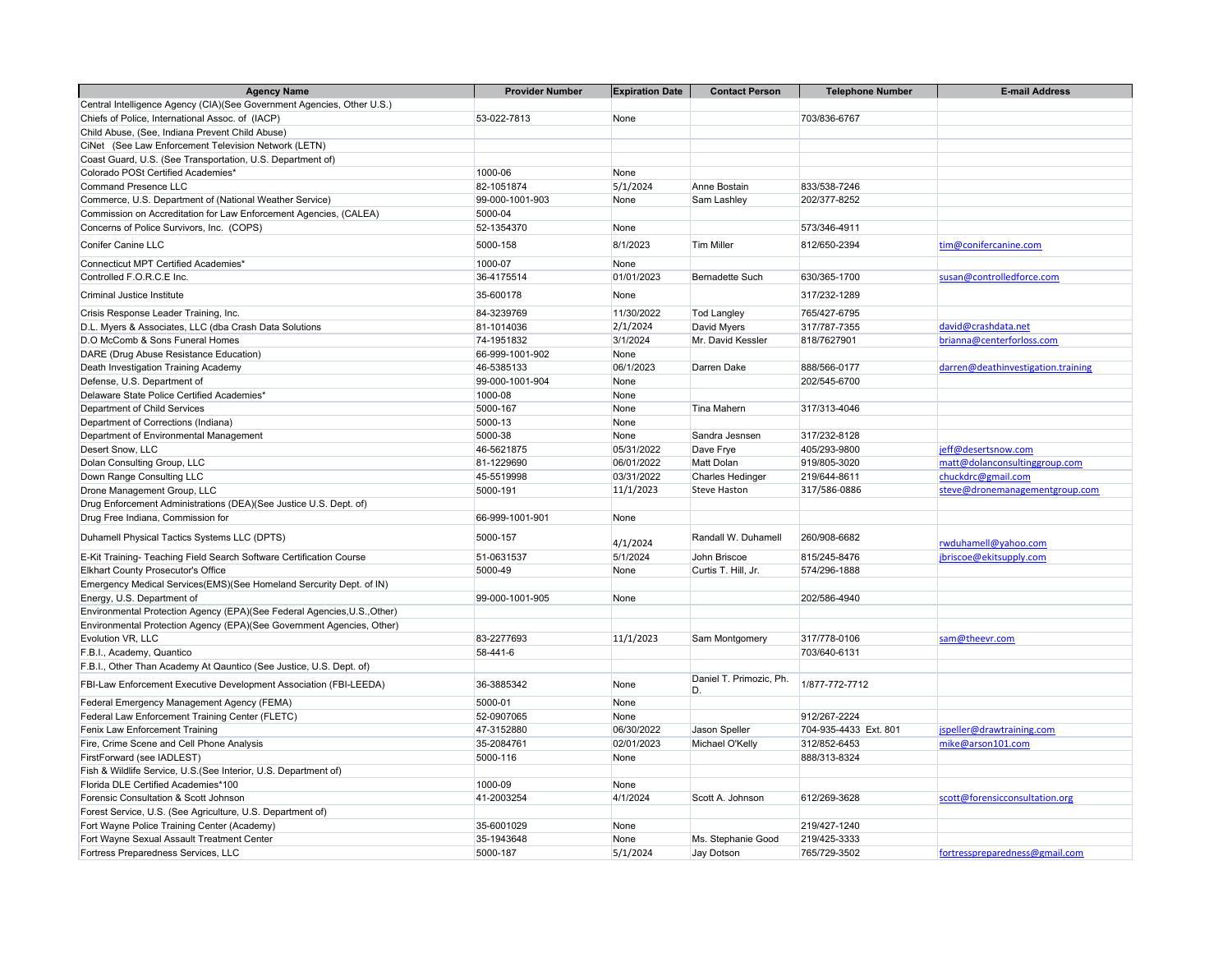| <b>Agency Name</b>                                                                | <b>Provider Number</b> | <b>Expiration Date</b> | <b>Contact Person</b>         | <b>Telephone Number</b>      | <b>E-mail Address</b>              |
|-----------------------------------------------------------------------------------|------------------------|------------------------|-------------------------------|------------------------------|------------------------------------|
| Central Intelligence Agency (CIA)(See Government Agencies, Other U.S.)            |                        |                        |                               |                              |                                    |
| Chiefs of Police, International Assoc. of (IACP)                                  | 53-022-7813            | None                   |                               | 703/836-6767                 |                                    |
| Child Abuse, (See, Indiana Prevent Child Abuse)                                   |                        |                        |                               |                              |                                    |
| CiNet (See Law Enforcement Television Network (LETN)                              |                        |                        |                               |                              |                                    |
| Coast Guard, U.S. (See Transportation, U.S. Department of)                        |                        |                        |                               |                              |                                    |
| Colorado POSt Certified Academies*                                                | 1000-06                | None                   |                               |                              |                                    |
| <b>Command Presence LLC</b>                                                       | 82-1051874             | 5/1/2024               | Anne Bostain                  | 833/538-7246                 |                                    |
| Commerce, U.S. Department of (National Weather Service)                           | 99-000-1001-903        | None                   | Sam Lashley                   | 202/377-8252                 |                                    |
| Commission on Accreditation for Law Enforcement Agencies, (CALEA)                 | 5000-04                |                        |                               |                              |                                    |
| Concerns of Police Survivors, Inc. (COPS)                                         | 52-1354370             | None                   |                               | 573/346-4911                 |                                    |
| <b>Conifer Canine LLC</b>                                                         | 5000-158               | 8/1/2023               | <b>Tim Miller</b>             | 812/650-2394                 | tim@conifercanine.com              |
| <b>Connecticut MPT Certified Academies*</b>                                       | 1000-07                | None                   |                               |                              |                                    |
| Controlled F.O.R.C.E Inc.                                                         | 36-4175514             | 01/01/2023             | <b>Bernadette Such</b>        | 630/365-1700                 | susan@controlledforce.com          |
| Criminal Justice Institute                                                        | 35-600178              | None                   |                               | 317/232-1289                 |                                    |
| Crisis Response Leader Training, Inc.                                             | 84-3239769             | 11/30/2022             | <b>Tod Langley</b>            | 765/427-6795                 |                                    |
| D.L. Myers & Associates, LLC (dba Crash Data Solutions                            | 81-1014036             | 2/1/2024               | David Myers                   | 317/787-7355                 | david@crashdata.net                |
| D.O McComb & Sons Funeral Homes                                                   | 74-1951832             | 3/1/2024               | Mr. David Kessler             | 818/7627901                  | brianna@centerforloss.com          |
| DARE (Drug Abuse Resistance Education)                                            | 66-999-1001-902        | None                   |                               |                              |                                    |
| Death Investigation Training Academy                                              | 46-5385133             | 06/1/2023              | Darren Dake                   | 888/566-0177                 | darren@deathinvestigation.training |
| Defense, U.S. Department of                                                       | 99-000-1001-904        | None                   |                               | 202/545-6700                 |                                    |
| Delaware State Police Certified Academies*                                        | 1000-08                | None                   |                               |                              |                                    |
| Department of Child Services                                                      | 5000-167               | None                   | Tina Mahern                   | 317/313-4046                 |                                    |
| Department of Corrections (Indiana)                                               | 5000-13                | None                   |                               |                              |                                    |
| Department of Environmental Management                                            | 5000-38                | None                   | Sandra Jesnsen                | 317/232-8128                 |                                    |
| Desert Snow, LLC                                                                  | 46-5621875             | 05/31/2022             | Dave Frye                     | 405/293-9800                 | jeff@desertsnow.com                |
| Dolan Consulting Group, LLC                                                       | 81-1229690             | 06/01/2022             | <b>Matt Dolan</b>             | 919/805-3020                 | matt@dolanconsultinggroup.com      |
| Down Range Consulting LLC                                                         | 45-5519998             | 03/31/2022             | <b>Charles Hedinger</b>       | 219/644-8611                 | chuckdrc@gmail.com                 |
| Drone Management Group, LLC                                                       | 5000-191               | 11/1/2023              | <b>Steve Haston</b>           | 317/586-0886                 | steve@dronemanagementgroup.com     |
| Drug Enforcement Administrations (DEA)(See Justice U.S. Dept. of)                 |                        |                        |                               |                              |                                    |
| Drug Free Indiana, Commission for                                                 | 66-999-1001-901        | None                   |                               |                              |                                    |
| Duhamell Physical Tactics Systems LLC (DPTS)                                      | 5000-157               | 4/1/2024               | Randall W. Duhamell           | 260/908-6682                 | rwduhamell@yahoo.com               |
| E-Kit Training- Teaching Field Search Software Certification Course               | 51-0631537             | 5/1/2024               | John Briscoe                  | 815/245-8476                 | jbriscoe@ekitsupply.com            |
| Elkhart County Prosecutor's Office                                                | 5000-49                | None                   | Curtis T. Hill, Jr.           | 574/296-1888                 |                                    |
| Emergency Medical Services(EMS)(See Homeland Sercurity Dept. of IN)               |                        |                        |                               |                              |                                    |
| Energy, U.S. Department of                                                        | 99-000-1001-905        | None                   |                               | 202/586-4940                 |                                    |
| Environmental Protection Agency (EPA)(See Federal Agencies, U.S., Other)          |                        |                        |                               |                              |                                    |
| Environmental Protection Agency (EPA)(See Government Agencies, Other)             |                        |                        |                               |                              |                                    |
| Evolution VR, LLC                                                                 | 83-2277693             | 11/1/2023              | Sam Montgomery                | 317/778-0106                 | sam@theevr.com                     |
| F.B.I., Academy, Quantico                                                         | 58-441-6               |                        |                               | 703/640-6131                 |                                    |
| F.B.I., Other Than Academy At Qauntico (See Justice, U.S. Dept. of)               |                        |                        |                               |                              |                                    |
| FBI-Law Enforcement Executive Development Association (FBI-LEEDA)                 | 36-3885342             | None                   | Daniel T. Primozic, Ph.<br>D. | 1/877-772-7712               |                                    |
| Federal Emergency Management Agency (FEMA)                                        | 5000-01                | None                   |                               |                              |                                    |
| Federal Law Enforcement Training Center (FLETC)                                   | 52-0907065             | None                   |                               | 912/267-2224                 |                                    |
| Fenix Law Enforcement Training                                                    | 47-3152880             | 06/30/2022             | Jason Speller                 | 704-935-4433 Ext. 801        | jspeller@drawtraining.com          |
| Fire, Crime Scene and Cell Phone Analysis                                         | 35-2084761             | 02/01/2023             | Michael O'Kelly               | 312/852-6453                 | mike@arson101.com                  |
| FirstForward (see IADLEST)                                                        | 5000-116               | None                   |                               | 888/313-8324                 |                                    |
| Fish & Wildlife Service, U.S. (See Interior, U.S. Department of)                  |                        |                        |                               |                              |                                    |
| Florida DLE Certified Academies*100                                               | 1000-09                | None                   |                               |                              |                                    |
| Forensic Consultation & Scott Johnson                                             | 41-2003254             | 4/1/2024               | Scott A. Johnson              | 612/269-3628                 | scott@forensicconsultation.org     |
| Forest Service, U.S. (See Agriculture, U.S. Department of)                        |                        |                        |                               |                              |                                    |
| Fort Wayne Police Training Center (Academy)                                       | 35-6001029             | None                   |                               | 219/427-1240                 |                                    |
| Fort Wayne Sexual Assault Treatment Center<br>Fortress Preparedness Services, LLC | 35-1943648<br>5000-187 | None<br>5/1/2024       | Ms. Stephanie Good            | 219/425-3333<br>765/729-3502 | fortresspreparedness@gmail.com     |
|                                                                                   |                        |                        | Jay Dotson                    |                              |                                    |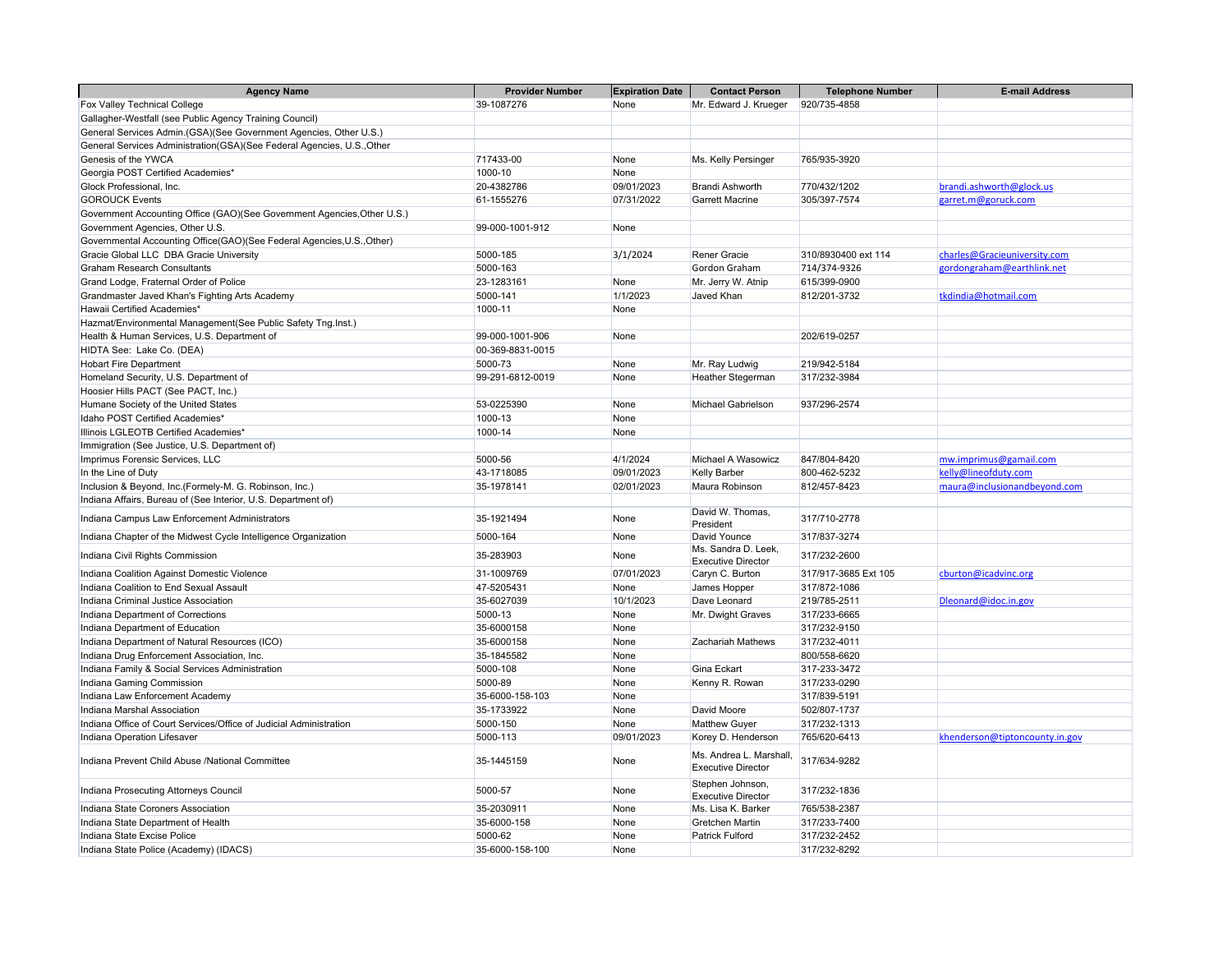| <b>Agency Name</b>                                                      | <b>Provider Number</b> | <b>Expiration Date</b> | <b>Contact Person</b>                               | <b>Telephone Number</b> | <b>E-mail Address</b>          |
|-------------------------------------------------------------------------|------------------------|------------------------|-----------------------------------------------------|-------------------------|--------------------------------|
| Fox Valley Technical College                                            | 39-1087276             | None                   | Mr. Edward J. Krueger                               | 920/735-4858            |                                |
| Gallagher-Westfall (see Public Agency Training Council)                 |                        |                        |                                                     |                         |                                |
| General Services Admin.(GSA)(See Government Agencies, Other U.S.)       |                        |                        |                                                     |                         |                                |
| General Services Administration(GSA)(See Federal Agencies, U.S., Other  |                        |                        |                                                     |                         |                                |
| Genesis of the YWCA                                                     | 717433-00              | None                   | Ms. Kelly Persinger                                 | 765/935-3920            |                                |
| Georgia POST Certified Academies*                                       | 1000-10                | None                   |                                                     |                         |                                |
| Glock Professional, Inc.                                                | 20-4382786             | 09/01/2023             | <b>Brandi Ashworth</b>                              | 770/432/1202            | brandi.ashworth@glock.us       |
| <b>GOROUCK Events</b>                                                   | 61-1555276             | 07/31/2022             | <b>Garrett Macrine</b>                              | 305/397-7574            | garret.m@goruck.com            |
| Government Accounting Office (GAO)(See Government Agencies, Other U.S.) |                        |                        |                                                     |                         |                                |
| Government Agencies, Other U.S.                                         | 99-000-1001-912        | None                   |                                                     |                         |                                |
| Governmental Accounting Office(GAO)(See Federal Agencies, U.S., Other)  |                        |                        |                                                     |                         |                                |
| Gracie Global LLC DBA Gracie University                                 | 5000-185               | 3/1/2024               | Rener Gracie                                        | 310/8930400 ext 114     | charles@Gracieuniversity.com   |
| Graham Research Consultants                                             | 5000-163               |                        | Gordon Graham                                       | 714/374-9326            | gordongraham@earthlink.net     |
| Grand Lodge, Fraternal Order of Police                                  | 23-1283161             | None                   | Mr. Jerry W. Atnip                                  | 615/399-0900            |                                |
| Grandmaster Javed Khan's Fighting Arts Academy                          | 5000-141               | 1/1/2023               | Javed Khan                                          | 812/201-3732            | tkdindia@hotmail.com           |
| Hawaii Certified Academies*                                             | 1000-11                | None                   |                                                     |                         |                                |
| Hazmat/Environmental Management(See Public Safety Tng.Inst.)            |                        |                        |                                                     |                         |                                |
| Health & Human Services, U.S. Department of                             | 99-000-1001-906        | None                   |                                                     | 202/619-0257            |                                |
| HIDTA See: Lake Co. (DEA)                                               | 00-369-8831-0015       |                        |                                                     |                         |                                |
| <b>Hobart Fire Department</b>                                           | 5000-73                | None                   | Mr. Ray Ludwig                                      | 219/942-5184            |                                |
| Homeland Security, U.S. Department of                                   | 99-291-6812-0019       | None                   | Heather Stegerman                                   | 317/232-3984            |                                |
| Hoosier Hills PACT (See PACT, Inc.)                                     |                        |                        |                                                     |                         |                                |
| Humane Society of the United States                                     | 53-0225390             | None                   | Michael Gabrielson                                  | 937/296-2574            |                                |
| Idaho POST Certified Academies'                                         | 1000-13                | None                   |                                                     |                         |                                |
| Illinois LGLEOTB Certified Academies*                                   | 1000-14                | None                   |                                                     |                         |                                |
| Immigration (See Justice, U.S. Department of)                           |                        |                        |                                                     |                         |                                |
| Imprimus Forensic Services, LLC                                         | 5000-56                | 4/1/2024               | Michael A Wasowicz                                  | 847/804-8420            | mw.imprimus@gamail.com         |
| In the Line of Duty                                                     | 43-1718085             | 09/01/2023             | <b>Kelly Barber</b>                                 | 800-462-5232            | kelly@lineofduty.com           |
| Inclusion & Beyond, Inc.(Formely-M. G. Robinson, Inc.)                  | 35-1978141             | 02/01/2023             | Maura Robinson                                      | 812/457-8423            | maura@inclusionandbeyond.com   |
| Indiana Affairs, Bureau of (See Interior, U.S. Department of)           |                        |                        |                                                     |                         |                                |
| Indiana Campus Law Enforcement Administrators                           | 35-1921494             | None                   | David W. Thomas,<br>President                       | 317/710-2778            |                                |
| Indiana Chapter of the Midwest Cycle Intelligence Organization          | 5000-164               | None                   | David Younce                                        | 317/837-3274            |                                |
| Indiana Civil Rights Commission                                         | 35-283903              | None                   | Ms. Sandra D. Leek,<br><b>Executive Director</b>    | 317/232-2600            |                                |
| Indiana Coalition Against Domestic Violence                             | 31-1009769             | 07/01/2023             | Caryn C. Burton                                     | 317/917-3685 Ext 105    | cburton@icadvinc.org           |
| Indiana Coalition to End Sexual Assault                                 | 47-5205431             | None                   | James Hopper                                        | 317/872-1086            |                                |
| Indiana Criminal Justice Association                                    | 35-6027039             | 10/1/2023              | Dave Leonard                                        | 219/785-2511            | Dleonard@idoc.in.gov           |
| Indiana Department of Corrections                                       | 5000-13                | None                   | Mr. Dwight Graves                                   | 317/233-6665            |                                |
| Indiana Department of Education                                         | 35-6000158             | None                   |                                                     | 317/232-9150            |                                |
| Indiana Department of Natural Resources (ICO)                           | 35-6000158             | None                   | Zachariah Mathews                                   | 317/232-4011            |                                |
| Indiana Drug Enforcement Association, Inc.                              | 35-1845582             | None                   |                                                     | 800/558-6620            |                                |
| Indiana Family & Social Services Administration                         | 5000-108               | None                   | <b>Gina Eckart</b>                                  | 317-233-3472            |                                |
| Indiana Gaming Commission                                               | 5000-89                | None                   | Kenny R. Rowan                                      | 317/233-0290            |                                |
| Indiana Law Enforcement Academy                                         | 35-6000-158-103        | None                   |                                                     | 317/839-5191            |                                |
| Indiana Marshal Association                                             | 35-1733922             | None                   | David Moore                                         | 502/807-1737            |                                |
| Indiana Office of Court Services/Office of Judicial Administration      | 5000-150               | None                   | <b>Matthew Guyer</b>                                | 317/232-1313            |                                |
| Indiana Operation Lifesaver                                             | 5000-113               | 09/01/2023             | Korey D. Henderson                                  | 765/620-6413            | khenderson@tiptoncounty.in.gov |
| Indiana Prevent Child Abuse /National Committee                         | 35-1445159             | None                   | Ms. Andrea L. Marshall<br><b>Executive Director</b> | 317/634-9282            |                                |
| Indiana Prosecuting Attorneys Council                                   | 5000-57                | None                   | Stephen Johnson,<br><b>Executive Director</b>       | 317/232-1836            |                                |
| Indiana State Coroners Association                                      | 35-2030911             | None                   | Ms. Lisa K. Barker                                  | 765/538-2387            |                                |
| Indiana State Department of Health                                      | 35-6000-158            | None                   | <b>Gretchen Martin</b>                              | 317/233-7400            |                                |
| Indiana State Excise Police                                             | 5000-62                | None                   | <b>Patrick Fulford</b>                              | 317/232-2452            |                                |
| Indiana State Police (Academy) (IDACS)                                  | 35-6000-158-100        | None                   |                                                     | 317/232-8292            |                                |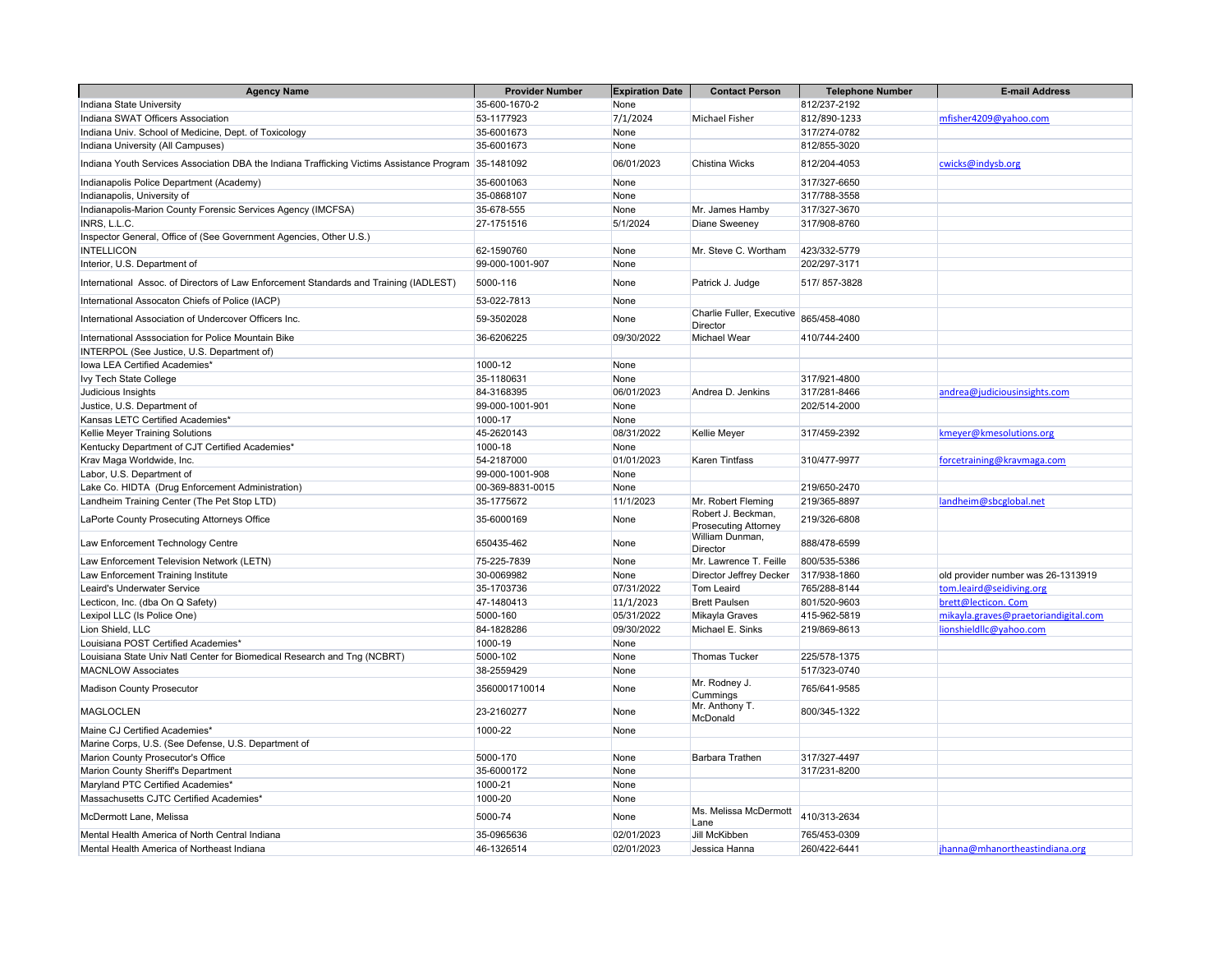| <b>Agency Name</b>                                                                                   | <b>Provider Number</b> | <b>Expiration Date</b> | <b>Contact Person</b>                        | <b>Telephone Number</b> | <b>E-mail Address</b>                |
|------------------------------------------------------------------------------------------------------|------------------------|------------------------|----------------------------------------------|-------------------------|--------------------------------------|
| Indiana State University                                                                             | 35-600-1670-2          | None                   |                                              | 812/237-2192            |                                      |
| Indiana SWAT Officers Association                                                                    | 53-1177923             | 7/1/2024               | <b>Michael Fisher</b>                        | 812/890-1233            | mfisher4209@yahoo.com                |
| Indiana Univ. School of Medicine, Dept. of Toxicology                                                | 35-6001673             | None                   |                                              | 317/274-0782            |                                      |
| Indiana University (All Campuses)                                                                    | 35-6001673             | None                   |                                              | 812/855-3020            |                                      |
| Indiana Youth Services Association DBA the Indiana Trafficking Victims Assistance Program 35-1481092 |                        | 06/01/2023             | <b>Chistina Wicks</b>                        | 812/204-4053            | cwicks@indysb.org                    |
| Indianapolis Police Department (Academy)                                                             | 35-6001063             | None                   |                                              | 317/327-6650            |                                      |
| Indianapolis, University of                                                                          | 35-0868107             | None                   |                                              | 317/788-3558            |                                      |
| Indianapolis-Marion County Forensic Services Agency (IMCFSA)                                         | 35-678-555             | None                   | Mr. James Hamby                              | 317/327-3670            |                                      |
| INRS, L.L.C.                                                                                         | 27-1751516             | 5/1/2024               | <b>Diane Sweeney</b>                         | 317/908-8760            |                                      |
| Inspector General, Office of (See Government Agencies, Other U.S.)                                   |                        |                        |                                              |                         |                                      |
| <b>INTELLICON</b>                                                                                    | 62-1590760             | None                   | Mr. Steve C. Wortham                         | 423/332-5779            |                                      |
| Interior, U.S. Department of                                                                         | 99-000-1001-907        | None                   |                                              | 202/297-3171            |                                      |
| International Assoc. of Directors of Law Enforcement Standards and Training (IADLEST)                | 5000-116               | None                   | Patrick J. Judge                             | 517/857-3828            |                                      |
| International Assocaton Chiefs of Police (IACP)                                                      | 53-022-7813            | None                   |                                              |                         |                                      |
| International Association of Undercover Officers Inc.                                                | 59-3502028             | None                   | Charlie Fuller, Executive<br><b>Director</b> | 865/458-4080            |                                      |
| International Asssociation for Police Mountain Bike                                                  | 36-6206225             | 09/30/2022             | Michael Wear                                 | 410/744-2400            |                                      |
| INTERPOL (See Justice, U.S. Department of)                                                           |                        |                        |                                              |                         |                                      |
| Iowa LEA Certified Academies*                                                                        | 1000-12                | None                   |                                              |                         |                                      |
| Ivy Tech State College                                                                               | 35-1180631             | None                   |                                              | 317/921-4800            |                                      |
| Judicious Insights                                                                                   | 84-3168395             | 06/01/2023             | Andrea D. Jenkins                            | 317/281-8466            | andrea@judiciousinsights.com         |
| Justice, U.S. Department of                                                                          | 99-000-1001-901        | None                   |                                              | 202/514-2000            |                                      |
| Kansas LETC Certified Academies*                                                                     | 1000-17                | None                   |                                              |                         |                                      |
| Kellie Meyer Training Solutions                                                                      | 45-2620143             | 08/31/2022             | <b>Kellie Meyer</b>                          | 317/459-2392            | kmeyer@kmesolutions.org              |
| Kentucky Department of CJT Certified Academies*                                                      | 1000-18                | None                   |                                              |                         |                                      |
| Krav Maga Worldwide, Inc.                                                                            | 54-2187000             | 01/01/2023             | <b>Karen Tintfass</b>                        | 310/477-9977            | forcetraining@kravmaga.com           |
| Labor, U.S. Department of                                                                            | 99-000-1001-908        | None                   |                                              |                         |                                      |
| Lake Co. HIDTA (Drug Enforcement Administration)                                                     | 00-369-8831-0015       | None                   |                                              | 219/650-2470            |                                      |
| Landheim Training Center (The Pet Stop LTD)                                                          | 35-1775672             | 11/1/2023              | Mr. Robert Fleming                           | 219/365-8897            | landheim@sbcglobal.net               |
|                                                                                                      |                        |                        | Robert J. Beckman,                           |                         |                                      |
| LaPorte County Prosecuting Attorneys Office                                                          | 35-6000169             | None                   | <b>Prosecuting Attorney</b>                  | 219/326-6808            |                                      |
| Law Enforcement Technology Centre                                                                    | 650435-462             | None                   | William Dunman,<br><b>Director</b>           | 888/478-6599            |                                      |
| Law Enforcement Television Network (LETN)                                                            | 75-225-7839            | None                   | Mr. Lawrence T. Feille                       | 800/535-5386            |                                      |
| Law Enforcement Training Institute                                                                   | 30-0069982             | None                   | Director Jeffrey Decker                      | 317/938-1860            | old provider number was 26-1313919   |
| Leaird's Underwater Service                                                                          | 35-1703736             | 07/31/2022             | <b>Tom Leaird</b>                            | 765/288-8144            | tom.leaird@seidiving.org             |
| Lecticon, Inc. (dba On Q Safety)                                                                     | 47-1480413             | 11/1/2023              | <b>Brett Paulsen</b>                         | 801/520-9603            | brett@lecticon. Com                  |
| Lexipol LLC (Is Police One)                                                                          | 5000-160               | 05/31/2022             | Mikayla Graves                               | 415-962-5819            | mikayla.graves@praetoriandigital.com |
| Lion Shield, LLC                                                                                     | 84-1828286             | 09/30/2022             | Michael E. Sinks                             | 219/869-8613            | lionshieldllc@yahoo.com              |
| Louisiana POST Certified Academies*                                                                  | 1000-19                | None                   |                                              |                         |                                      |
| Louisiana State Univ Natl Center for Biomedical Research and Tng (NCBRT)                             | 5000-102               | None                   | <b>Thomas Tucker</b>                         | 225/578-1375            |                                      |
| <b>MACNLOW Associates</b>                                                                            | 38-2559429             | None                   |                                              | 517/323-0740            |                                      |
| <b>Madison County Prosecutor</b>                                                                     | 3560001710014          | None                   | Mr. Rodney J.<br>Cummings                    | 765/641-9585            |                                      |
| <b>MAGLOCLEN</b>                                                                                     | 23-2160277             | None                   | Mr. Anthony T.<br>McDonald                   | 800/345-1322            |                                      |
| Maine CJ Certified Academies*                                                                        | 1000-22                | None                   |                                              |                         |                                      |
| Marine Corps, U.S. (See Defense, U.S. Department of                                                  |                        |                        |                                              |                         |                                      |
| Marion County Prosecutor's Office                                                                    | 5000-170               | None                   | <b>Barbara Trathen</b>                       | 317/327-4497            |                                      |
| Marion County Sheriff's Department                                                                   | 35-6000172             | None                   |                                              | 317/231-8200            |                                      |
| Maryland PTC Certified Academies*                                                                    | 1000-21                | None                   |                                              |                         |                                      |
| Massachusetts CJTC Certified Academies*                                                              | 1000-20                | None                   |                                              |                         |                                      |
| McDermott Lane, Melissa                                                                              | 5000-74                | None                   | Ms. Melissa McDermott<br>Lane                | 410/313-2634            |                                      |
| Mental Health America of North Central Indiana                                                       | 35-0965636             | 02/01/2023             | Jill McKibben                                | 765/453-0309            |                                      |
| Mental Health America of Northeast Indiana                                                           | 46-1326514             | 02/01/2023             | Jessica Hanna                                | 260/422-6441            | jhanna@mhanortheastindiana.org       |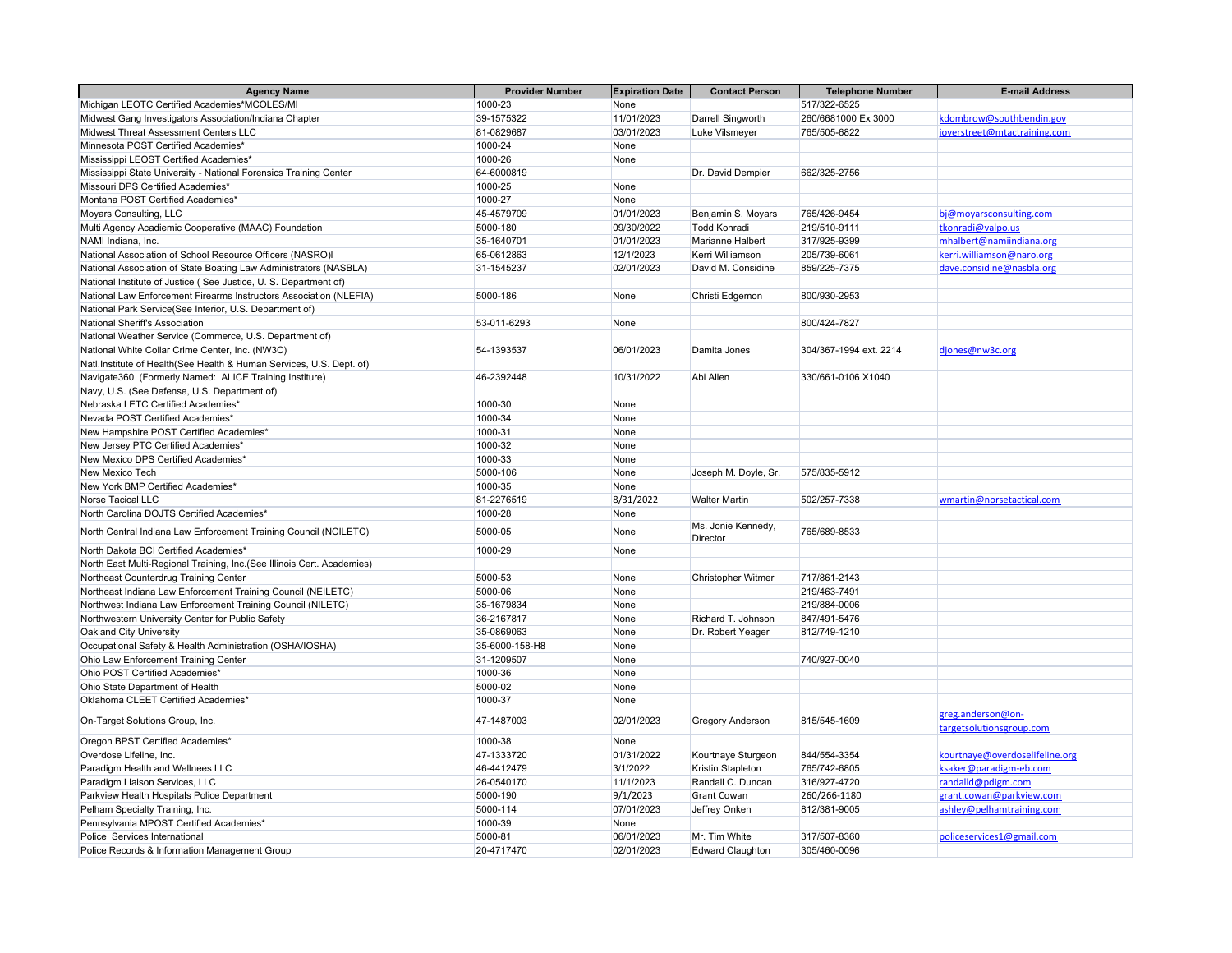| <b>Agency Name</b>                                                     | <b>Provider Number</b> | <b>Expiration Date</b> | <b>Contact Person</b>          | <b>Telephone Number</b> | <b>E-mail Address</b>                         |
|------------------------------------------------------------------------|------------------------|------------------------|--------------------------------|-------------------------|-----------------------------------------------|
| Michigan LEOTC Certified Academies*MCOLES/MI                           | 1000-23                | None                   |                                | 517/322-6525            |                                               |
| Midwest Gang Investigators Association/Indiana Chapter                 | 39-1575322             | 11/01/2023             | Darrell Singworth              | 260/6681000 Ex 3000     | kdombrow@southbendin.gov                      |
| Midwest Threat Assessment Centers LLC                                  | 81-0829687             | 03/01/2023             | Luke Vilsmeyer                 | 765/505-6822            | joverstreet@mtactraining.com                  |
| Minnesota POST Certified Academies*                                    | 1000-24                | None                   |                                |                         |                                               |
| Mississippi LEOST Certified Academies*                                 | 1000-26                | None                   |                                |                         |                                               |
| Mississippi State University - National Forensics Training Center      | 64-6000819             |                        | Dr. David Dempier              | 662/325-2756            |                                               |
| Missouri DPS Certified Academies*                                      | 1000-25                | None                   |                                |                         |                                               |
| Montana POST Certified Academies*                                      | 1000-27                | None                   |                                |                         |                                               |
| Moyars Consulting, LLC                                                 | 45-4579709             | 01/01/2023             | Benjamin S. Moyars             | 765/426-9454            | bj@moyarsconsulting.com                       |
| Multi Agency Acadiemic Cooperative (MAAC) Foundation                   | 5000-180               | 09/30/2022             | Todd Konradi                   | 219/510-9111            | tkonradi@valpo.us                             |
| NAMI Indiana, Inc.                                                     | 35-1640701             | 01/01/2023             | Marianne Halbert               | 317/925-9399            | mhalbert@namiindiana.org                      |
| National Association of School Resource Officers (NASRO)I              | 65-0612863             | 12/1/2023              | Kerri Williamson               | 205/739-6061            | kerri.williamson@naro.org                     |
| National Association of State Boating Law Administrators (NASBLA)      | 31-1545237             | 02/01/2023             | David M. Considine             | 859/225-7375            | dave.considine@nasbla.org                     |
| National Institute of Justice (See Justice, U.S. Department of)        |                        |                        |                                |                         |                                               |
| National Law Enforcement Firearms Instructors Association (NLEFIA)     | 5000-186               | None                   | Christi Edgemon                | 800/930-2953            |                                               |
| National Park Service(See Interior, U.S. Department of)                |                        |                        |                                |                         |                                               |
| National Sheriff's Association                                         | 53-011-6293            | None                   |                                | 800/424-7827            |                                               |
| National Weather Service (Commerce, U.S. Department of)                |                        |                        |                                |                         |                                               |
| National White Collar Crime Center, Inc. (NW3C)                        | 54-1393537             | 06/01/2023             | Damita Jones                   | 304/367-1994 ext. 2214  | djones@nw3c.org                               |
| Natl.Institute of Health(See Health & Human Services, U.S. Dept. of)   |                        |                        |                                |                         |                                               |
| Navigate360 (Formerly Named: ALICE Training Institure)                 | 46-2392448             | 10/31/2022             | Abi Allen                      | 330/661-0106 X1040      |                                               |
| Navy, U.S. (See Defense, U.S. Department of)                           |                        |                        |                                |                         |                                               |
| Nebraska LETC Certified Academies*                                     | 1000-30                | None                   |                                |                         |                                               |
| Nevada POST Certified Academies*                                       | 1000-34                | None                   |                                |                         |                                               |
| New Hampshire POST Certified Academies*                                | 1000-31                | None                   |                                |                         |                                               |
| New Jersey PTC Certified Academies*                                    | 1000-32                | None                   |                                |                         |                                               |
| New Mexico DPS Certified Academies*                                    | 1000-33                | None                   |                                |                         |                                               |
| New Mexico Tech                                                        | 5000-106               | None                   | Joseph M. Doyle, Sr.           | 575/835-5912            |                                               |
| New York BMP Certified Academies*                                      | 1000-35                | None                   |                                |                         |                                               |
| Norse Tacical LLC                                                      | 81-2276519             | 8/31/2022              | <b>Walter Martin</b>           | 502/257-7338            | wmartin@norsetactical.com                     |
| North Carolina DOJTS Certified Academies*                              | 1000-28                | None                   |                                |                         |                                               |
| North Central Indiana Law Enforcement Training Council (NCILETC)       | 5000-05                | None                   | Ms. Jonie Kennedy,<br>Director | 765/689-8533            |                                               |
| North Dakota BCI Certified Academies*                                  | 1000-29                | None                   |                                |                         |                                               |
| North East Multi-Regional Training, Inc.(See Illinois Cert. Academies) |                        |                        |                                |                         |                                               |
| Northeast Counterdrug Training Center                                  | 5000-53                | None                   | <b>Christopher Witmer</b>      | 717/861-2143            |                                               |
| Northeast Indiana Law Enforcement Training Council (NEILETC)           | 5000-06                | None                   |                                | 219/463-7491            |                                               |
| Northwest Indiana Law Enforcement Training Council (NILETC)            | 35-1679834             | None                   |                                | 219/884-0006            |                                               |
| Northwestern University Center for Public Safety                       | 36-2167817             | None                   | Richard T. Johnson             | 847/491-5476            |                                               |
| Oakland City University                                                | 35-0869063             | None                   | Dr. Robert Yeager              | 812/749-1210            |                                               |
| Occupational Safety & Health Administration (OSHA/IOSHA)               | 35-6000-158-H8         | None                   |                                |                         |                                               |
| Ohio Law Enforcement Training Center                                   | 31-1209507             | None                   |                                | 740/927-0040            |                                               |
| Ohio POST Certified Academies*                                         | 1000-36                | None                   |                                |                         |                                               |
| Ohio State Department of Health                                        | 5000-02                | None                   |                                |                         |                                               |
| Oklahoma CLEET Certified Academies*                                    | 1000-37                | None                   |                                |                         |                                               |
| On-Target Solutions Group, Inc.                                        | 47-1487003             | 02/01/2023             | <b>Gregory Anderson</b>        | 815/545-1609            | greg.anderson@on-<br>targetsolutionsgroup.com |
| Oregon BPST Certified Academies*                                       | 1000-38                | None                   |                                |                         |                                               |
| Overdose Lifeline, Inc.                                                | 47-1333720             | 01/31/2022             | Kourtnaye Sturgeon             | 844/554-3354            | kourtnaye@overdoselifeline.org                |
| Paradigm Health and Wellnees LLC                                       | 46-4412479             | 3/1/2022               | Kristin Stapleton              | 765/742-6805            | ksaker@paradigm-eb.com                        |
| Paradigm Liaison Services, LLC                                         | 26-0540170             | 11/1/2023              | Randall C. Duncan              | 316/927-4720            | randalld@pdigm.com                            |
| Parkview Health Hospitals Police Department                            | 5000-190               | 9/1/2023               | <b>Grant Cowan</b>             | 260/266-1180            | grant.cowan@parkview.com                      |
| Pelham Specialty Training, Inc.                                        | 5000-114               | 07/01/2023             | Jeffrey Onken                  | 812/381-9005            | ashley@pelhamtraining.com                     |
| Pennsylvania MPOST Certified Academies*                                | 1000-39                | None                   |                                |                         |                                               |
| Police Services International                                          | 5000-81                | 06/01/2023             | Mr. Tim White                  | 317/507-8360            | policeservices1@gmail.com                     |
| Police Records & Information Management Group                          | 20-4717470             | 02/01/2023             | <b>Edward Claughton</b>        | 305/460-0096            |                                               |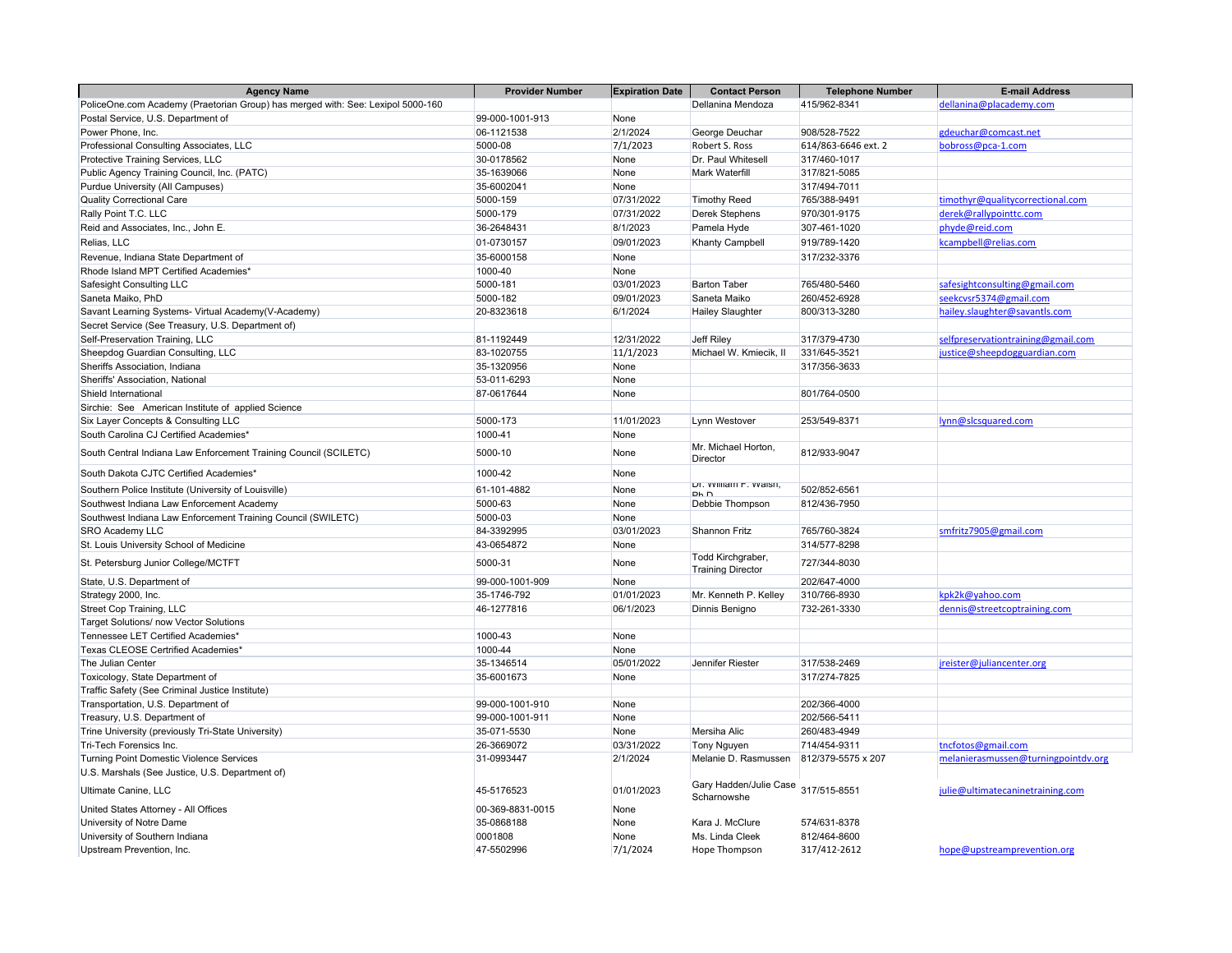| <b>Agency Name</b>                                                              | <b>Provider Number</b> | <b>Expiration Date</b> | <b>Contact Person</b>                     | <b>Telephone Number</b> | <b>E-mail Address</b>               |
|---------------------------------------------------------------------------------|------------------------|------------------------|-------------------------------------------|-------------------------|-------------------------------------|
| PoliceOne.com Academy (Praetorian Group) has merged with: See: Lexipol 5000-160 |                        |                        | Dellanina Mendoza                         | 415/962-8341            | dellanina@placademy.com             |
| Postal Service, U.S. Department of                                              | 99-000-1001-913        | None                   |                                           |                         |                                     |
| Power Phone, Inc.                                                               | 06-1121538             | 2/1/2024               | George Deuchar                            | 908/528-7522            | gdeuchar@comcast.net                |
| Professional Consulting Associates, LLC                                         | 5000-08                | 7/1/2023               | Robert S. Ross                            | 614/863-6646 ext. 2     | bobross@pca-1.com                   |
| Protective Training Services, LLC                                               | 30-0178562             | None                   | Dr. Paul Whitesell                        | 317/460-1017            |                                     |
| Public Agency Training Council, Inc. (PATC)                                     | 35-1639066             | None                   | <b>Mark Waterfill</b>                     | 317/821-5085            |                                     |
| Purdue University (All Campuses)                                                | 35-6002041             | None                   |                                           | 317/494-7011            |                                     |
| <b>Quality Correctional Care</b>                                                | 5000-159               | 07/31/2022             | <b>Timothy Reed</b>                       | 765/388-9491            | timothyr@qualitycorrectional.com    |
| Rally Point T.C. LLC                                                            | 5000-179               | 07/31/2022             | <b>Derek Stephens</b>                     | 970/301-9175            | derek@rallypointtc.com              |
| Reid and Associates, Inc., John E.                                              | 36-2648431             | 8/1/2023               | Pamela Hyde                               | 307-461-1020            | phyde@reid.com                      |
| Relias, LLC                                                                     | 01-0730157             | 09/01/2023             | <b>Khanty Campbell</b>                    | 919/789-1420            | kcampbell@relias.com                |
| Revenue, Indiana State Department of                                            | 35-6000158             | None                   |                                           | 317/232-3376            |                                     |
| Rhode Island MPT Certified Academies'                                           | 1000-40                | None                   |                                           |                         |                                     |
| Safesight Consulting LLC                                                        | 5000-181               | 03/01/2023             | <b>Barton Taber</b>                       | 765/480-5460            | safesightconsulting@gmail.com       |
| Saneta Maiko, PhD                                                               | 5000-182               | 09/01/2023             | Saneta Maiko                              | 260/452-6928            | seekcvsr5374@gmail.com              |
| Savant Learning Systems- Virtual Academy(V-Academy)                             | 20-8323618             | 6/1/2024               | <b>Hailey Slaughter</b>                   | 800/313-3280            | hailey.slaughter@savantls.com       |
| Secret Service (See Treasury, U.S. Department of)                               |                        |                        |                                           |                         |                                     |
| Self-Preservation Training, LLC                                                 | 81-1192449             | 12/31/2022             | Jeff Riley                                | 317/379-4730            | selfpreservationtraining@gmail.com  |
| Sheepdog Guardian Consulting, LLC                                               | 83-1020755             | 11/1/2023              | Michael W. Kmiecik, II                    | 331/645-3521            | justice@sheepdogguardian.com        |
| Sheriffs Association, Indiana                                                   | 35-1320956             | None                   |                                           | 317/356-3633            |                                     |
| Sheriffs' Association, National                                                 | 53-011-6293            | None                   |                                           |                         |                                     |
| Shield International                                                            | 87-0617644             | None                   |                                           | 801/764-0500            |                                     |
| Sirchie: See American Institute of applied Science                              |                        |                        |                                           |                         |                                     |
| Six Layer Concepts & Consulting LLC                                             | 5000-173               | 11/01/2023             | Lynn Westover                             | 253/549-8371            | lynn@slcsquared.com                 |
| South Carolina CJ Certified Academies*                                          | 1000-41                | None                   |                                           |                         |                                     |
| South Central Indiana Law Enforcement Training Council (SCILETC)                | 5000-10                | None                   | Mr. Michael Horton,<br>Director           | 812/933-9047            |                                     |
| South Dakota CJTC Certified Academies*                                          | 1000-42                | None                   |                                           |                         |                                     |
| Southern Police Institute (University of Louisville)                            | 61-101-4882            | None                   | Dr. vviillam r. vvalsn,                   | 502/852-6561            |                                     |
| Southwest Indiana Law Enforcement Academy                                       | 5000-63                | None                   | <b>Dh</b> <sub>n</sub><br>Debbie Thompson | 812/436-7950            |                                     |
| Southwest Indiana Law Enforcement Training Council (SWILETC)                    | 5000-03                | None                   |                                           |                         |                                     |
| <b>SRO Academy LLC</b>                                                          | 84-3392995             | 03/01/2023             | <b>Shannon Fritz</b>                      | 765/760-3824            | smfritz7905@gmail.com               |
| St. Louis University School of Medicine                                         | 43-0654872             | None                   |                                           | 314/577-8298            |                                     |
|                                                                                 |                        |                        | Todd Kirchgraber,                         |                         |                                     |
| St. Petersburg Junior College/MCTFT                                             | 5000-31                | None                   | <b>Training Director</b>                  | 727/344-8030            |                                     |
| State, U.S. Department of                                                       | 99-000-1001-909        | None                   |                                           | 202/647-4000            |                                     |
| Strategy 2000, Inc.                                                             | 35-1746-792            | 01/01/2023             | Mr. Kenneth P. Kelley                     | 310/766-8930            | kpk2k@yahoo.com                     |
| Street Cop Training, LLC                                                        | 46-1277816             | 06/1/2023              | Dinnis Benigno                            | 732-261-3330            | dennis@streetcoptraining.com        |
| Target Solutions/ now Vector Solutions                                          |                        |                        |                                           |                         |                                     |
| Tennessee LET Certified Academies*                                              | 1000-43                | None                   |                                           |                         |                                     |
| Texas CLEOSE Certrified Academies'                                              | 1000-44                | None                   |                                           |                         |                                     |
| The Julian Center                                                               | 35-1346514             | 05/01/2022             | Jennifer Riester                          | 317/538-2469            | jreister@juliancenter.org           |
| Toxicology, State Department of                                                 | 35-6001673             | None                   |                                           | 317/274-7825            |                                     |
| Traffic Safety (See Criminal Justice Institute)                                 |                        |                        |                                           |                         |                                     |
| Transportation, U.S. Department of                                              | 99-000-1001-910        | None                   |                                           | 202/366-4000            |                                     |
| Treasury, U.S. Department of                                                    | 99-000-1001-911        | None                   |                                           | 202/566-5411            |                                     |
| Trine University (previously Tri-State University)                              | 35-071-5530            | None                   | Mersiha Alic                              | 260/483-4949            |                                     |
| Tri-Tech Forensics Inc.                                                         | 26-3669072             | 03/31/2022             | <b>Tony Nguyen</b>                        | 714/454-9311            | tncfotos@gmail.com                  |
| <b>Turning Point Domestic Violence Services</b>                                 | 31-0993447             | 2/1/2024               | Melanie D. Rasmussen                      | 812/379-5575 x 207      | melanierasmussen@turningpointdv.org |
| U.S. Marshals (See Justice, U.S. Department of)                                 |                        |                        |                                           |                         |                                     |
| Ultimate Canine, LLC                                                            | 45-5176523             | 01/01/2023             | Gary Hadden/Julie Case<br>Scharnowshe     | 317/515-8551            | julie@ultimatecaninetraining.com    |
| United States Attorney - All Offices                                            | 00-369-8831-0015       | None                   |                                           |                         |                                     |
| University of Notre Dame                                                        | 35-0868188             | None                   | Kara J. McClure                           | 574/631-8378            |                                     |
| University of Southern Indiana                                                  | 0001808                | None                   | Ms. Linda Cleek                           | 812/464-8600            |                                     |
| Upstream Prevention, Inc.                                                       | 47-5502996             | 7/1/2024               | Hope Thompson                             | 317/412-2612            | hope@upstreamprevention.org         |